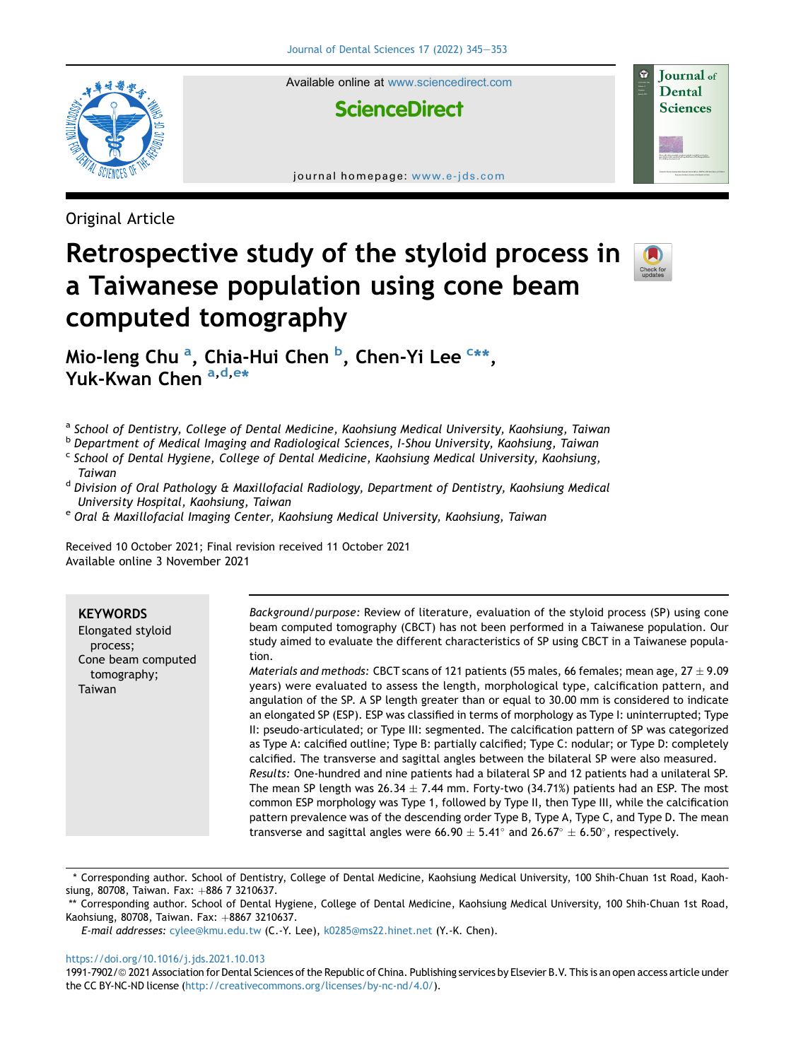

Available online at [www.sciencedirect.com](www.sciencedirect.com/science/journal/19917902)

# **ScienceDirect**

journal homepage: [www.e-jds.com](http://www.e-jds.com)

Original Article

# Retrospective study of the styloid process in a Taiwanese population using cone beam computed tomography



Journal of **Dental Sciences** 

Mio-leng Chu <sup>[a](#page-0-0)</sup>, Chia-Hui Chen <sup>[b](#page-0-1)</sup>, Chen-Yi Lee <sup>[c](#page-0-2)</sup>[\\*\\*,](#page-0-3) Yuk-Kwan Chen [a,](#page-0-0) [d,](#page-0-4) [e\\*](#page-0-5)

<span id="page-0-0"></span>a School of Dentistry, College of Dental Medicine, Kaohsiung Medical University, Kaohsiung, Taiwan

<span id="page-0-1"></span><sup>b</sup> Department of Medical Imaging and Radiological Sciences, I-Shou University, Kaohsiung, Taiwan

<span id="page-0-2"></span> $c$  School of Dental Hygiene, College of Dental Medicine, Kaohsiung Medical University, Kaohsiung,

<span id="page-0-4"></span>Taiwan<br><sup>d</sup> Division of Oral Pathology & Maxillofacial Radiology, Department of Dentistry, Kaohsiung Medical

<span id="page-0-5"></span>University Hospital, Kaohsiung, Taiwan<br><sup>e</sup> Oral & Maxillofacial Imaging Center, Kaohsiung Medical University, Kaohsiung, Taiwan

Received 10 October 2021; Final revision received 11 October 2021 Available online 3 November 2021

#### **KEYWORDS**

Elongated styloid process; Cone beam computed tomography; Taiwan

Background/purpose: Review of literature, evaluation of the styloid process (SP) using cone beam computed tomography (CBCT) has not been performed in a Taiwanese population. Our study aimed to evaluate the different characteristics of SP using CBCT in a Taiwanese population.

*Materials and methods:* CBCT scans of 121 patients (55 males, 66 females; mean age, 27  $\pm$  9.09 years) were evaluated to assess the length, morphological type, calcification pattern, and angulation of the SP. A SP length greater than or equal to 30.00 mm is considered to indicate an elongated SP (ESP). ESP was classified in terms of morphology as Type I: uninterrupted; Type II: pseudo-articulated; or Type III: segmented. The calcification pattern of SP was categorized as Type A: calcified outline; Type B: partially calcified; Type C: nodular; or Type D: completely calcified. The transverse and sagittal angles between the bilateral SP were also measured. Results: One-hundred and nine patients had a bilateral SP and 12 patients had a unilateral SP. The mean SP length was 26.34  $\pm$  7.44 mm. Forty-two (34.71%) patients had an ESP. The most common ESP morphology was Type 1, followed by Type II, then Type III, while the calcification pattern prevalence was of the descending order Type B, Type A, Type C, and Type D. The mean transverse and sagittal angles were 66.90  $\pm$  5.41° and 26.67°  $\pm$  6.50°, respectively.

E-mail addresses: [cylee@kmu.edu.tw](mailto:cylee@kmu.edu.tw) (C.-Y. Lee), [k0285@ms22.hinet.net](mailto:k0285@ms22.hinet.net) (Y.-K. Chen).

#### <https://doi.org/10.1016/j.jds.2021.10.013>

1991-7902/© 2021 Association for Dental Sciences of the Republic of China. Publishing services by Elsevier B.V. This is an open access article under the CC BY-NC-ND license ([http://creativecommons.org/licenses/by-nc-nd/4.0/\)](http://creativecommons.org/licenses/by-nc-nd/4.0/).

<sup>\*</sup> Corresponding author. School of Dentistry, College of Dental Medicine, Kaohsiung Medical University, 100 Shih-Chuan 1st Road, Kaohsiung, 80708. Taiwan. Fax:  $+886$  7 3210637.

<span id="page-0-3"></span><sup>\*\*</sup> Corresponding author. School of Dental Hygiene, College of Dental Medicine, Kaohsiung Medical University, 100 Shih-Chuan 1st Road, Kaohsiung, 80708, Taiwan. Fax: +8867 3210637.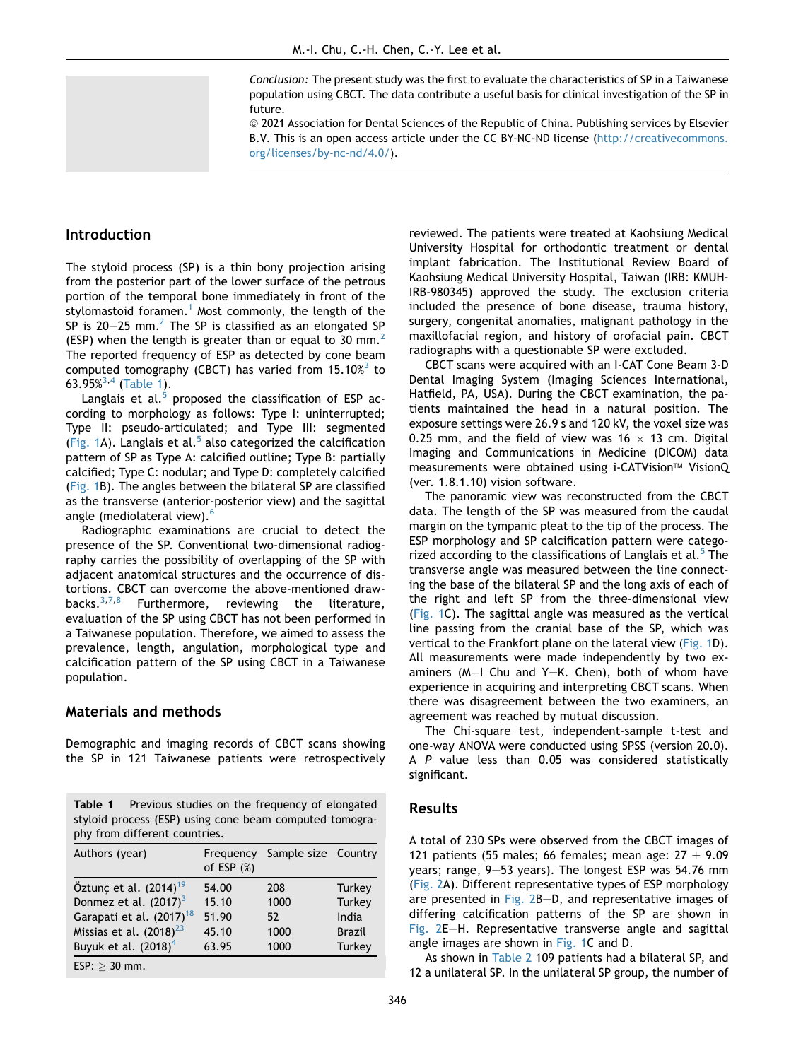Conclusion: The present study was the first to evaluate the characteristics of SP in a Taiwanese population using CBCT. The data contribute a useful basis for clinical investigation of the SP in future.

ª 2021 Association for Dental Sciences of the Republic of China. Publishing services by Elsevier B.V. This is an open access article under the CC BY-NC-ND license ([http://creativecommons.](http://creativecommons.org/licenses/by-nc-nd/4.0/) [org/licenses/by-nc-nd/4.0/\)](http://creativecommons.org/licenses/by-nc-nd/4.0/).

# Introduction

The styloid process (SP) is a thin bony projection arising from the posterior part of the lower surface of the petrous portion of the temporal bone immediately in front of the stylomastoid foramen.<sup>[1](#page-7-0)</sup> Most commonly, the length of the SP is  $20-25$  $20-25$  mm.<sup>2</sup> The SP is classified as an elongated SP (ESP) when the length is greater than or equal to 30 mm.<sup>[2](#page-7-1)</sup> The reported frequency of ESP as detected by cone beam computed tomography (CBCT) has varied from  $15.10\%$ <sup>[3](#page-7-2)</sup> to 6[3](#page-7-2).95%<sup>3,[4](#page-7-3)</sup> [\(Table 1](#page-1-0)).

Langlais et al. $5$  proposed the classification of ESP according to morphology as follows: Type I: uninterrupted; Type II: pseudo-articulated; and Type III: segmented ([Fig. 1](#page-2-0)A). Langlais et al. $5$  also categorized the calcification pattern of SP as Type A: calcified outline; Type B: partially calcified; Type C: nodular; and Type D: completely calcified ([Fig. 1B](#page-2-0)). The angles between the bilateral SP are classified as the transverse (anterior-posterior view) and the sagittal angle (mediolateral view).<sup>[6](#page-7-5)</sup>

Radiographic examinations are crucial to detect the presence of the SP. Conventional two-dimensional radiography carries the possibility of overlapping of the SP with adjacent anatomical structures and the occurrence of distortions. CBCT can overcome the above-mentioned draw-<br>backs.<sup>3,7,8</sup> Furthermore. reviewing the literature. Furthermore, reviewing the literature, evaluation of the SP using CBCT has not been performed in a Taiwanese population. Therefore, we aimed to assess the prevalence, length, angulation, morphological type and calcification pattern of the SP using CBCT in a Taiwanese population.

# Materials and methods

Demographic and imaging records of CBCT scans showing the SP in 121 Taiwanese patients were retrospectively

<span id="page-1-0"></span>Table 1 Previous studies on the frequency of elongated styloid process (ESP) using cone beam computed tomography from different countries.

| Authors (year)                       | Frequency<br>of ESP $(\%)$ | Sample size Country |               |
|--------------------------------------|----------------------------|---------------------|---------------|
| Öztunç et al. (2014) <sup>19</sup>   | 54.00                      | 208                 | Turkey        |
| Donmez et al. $(2017)^3$             | 15.10                      | 1000                | <b>Turkey</b> |
| Garapati et al. (2017) <sup>18</sup> | 51.90                      | 52                  | India         |
| Missias et al. $(2018)^{23}$         | 45.10                      | 1000                | <b>Brazil</b> |
| Buyuk et al. (2018) <sup>4</sup>     | 63.95                      | 1000                | Turkey        |
| $ESP: > 30$ mm.                      |                            |                     |               |

reviewed. The patients were treated at Kaohsiung Medical University Hospital for orthodontic treatment or dental implant fabrication. The Institutional Review Board of Kaohsiung Medical University Hospital, Taiwan (IRB: KMUH-IRB-980345) approved the study. The exclusion criteria included the presence of bone disease, trauma history, surgery, congenital anomalies, malignant pathology in the maxillofacial region, and history of orofacial pain. CBCT radiographs with a questionable SP were excluded.

CBCT scans were acquired with an I-CAT Cone Beam 3-D Dental Imaging System (Imaging Sciences International, Hatfield, PA, USA). During the CBCT examination, the patients maintained the head in a natural position. The exposure settings were 26.9 s and 120 kV, the voxel size was 0.25 mm, and the field of view was 16  $\times$  13 cm. Digital Imaging and Communications in Medicine (DICOM) data measurements were obtained using i-CATVision™ VisionQ (ver. 1.8.1.10) vision software.

The panoramic view was reconstructed from the CBCT data. The length of the SP was measured from the caudal margin on the tympanic pleat to the tip of the process. The ESP morphology and SP calcification pattern were catego-rized according to the classifications of Langlais et al.<sup>[5](#page-7-4)</sup> The transverse angle was measured between the line connecting the base of the bilateral SP and the long axis of each of the right and left SP from the three-dimensional view ([Fig. 1C](#page-2-0)). The sagittal angle was measured as the vertical line passing from the cranial base of the SP, which was vertical to the Frankfort plane on the lateral view [\(Fig. 1](#page-2-0)D). All measurements were made independently by two examiners  $(M-1)$  Chu and Y-K. Chen), both of whom have experience in acquiring and interpreting CBCT scans. When there was disagreement between the two examiners, an agreement was reached by mutual discussion.

The Chi-square test, independent-sample t-test and one-way ANOVA were conducted using SPSS (version 20.0). A P value less than 0.05 was considered statistically significant.

## Results

A total of 230 SPs were observed from the CBCT images of 121 patients (55 males; 66 females; mean age:  $27 \pm 9.09$ years; range, 9-53 years). The longest ESP was 54.76 mm ([Fig. 2A](#page-3-0)). Different representative types of ESP morphology are presented in [Fig. 2](#page-3-0)B-D, and representative images of differing calcification patterns of the SP are shown in [Fig. 2E](#page-3-0)-H. Representative transverse angle and sagittal angle images are shown in [Fig. 1](#page-2-0)C and D.

As shown in [Table 2](#page-3-1) 109 patients had a bilateral SP, and 12 a unilateral SP. In the unilateral SP group, the number of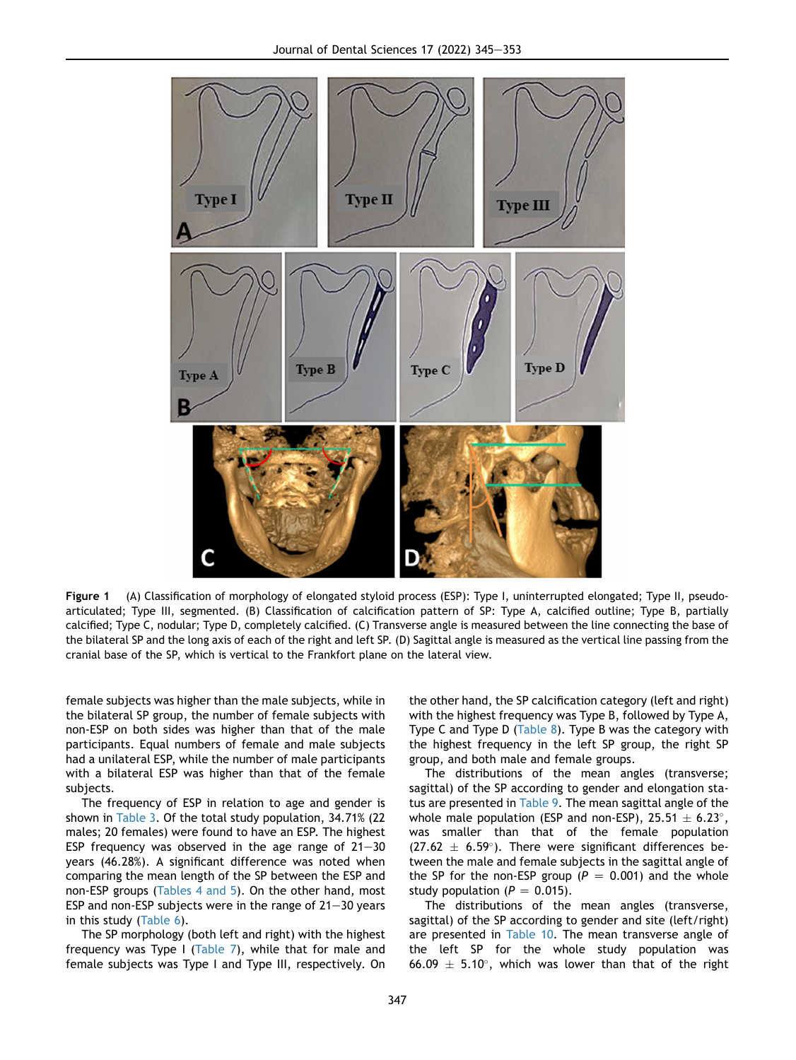<span id="page-2-0"></span>

Figure 1 (A) Classification of morphology of elongated styloid process (ESP): Type I, uninterrupted elongated; Type II, pseudoarticulated; Type III, segmented. (B) Classification of calcification pattern of SP: Type A, calcified outline; Type B, partially calcified; Type C, nodular; Type D, completely calcified. (C) Transverse angle is measured between the line connecting the base of the bilateral SP and the long axis of each of the right and left SP. (D) Sagittal angle is measured as the vertical line passing from the cranial base of the SP, which is vertical to the Frankfort plane on the lateral view.

female subjects was higher than the male subjects, while in the bilateral SP group, the number of female subjects with non-ESP on both sides was higher than that of the male participants. Equal numbers of female and male subjects had a unilateral ESP, while the number of male participants with a bilateral ESP was higher than that of the female subjects.

The frequency of ESP in relation to age and gender is shown in [Table 3.](#page-4-0) Of the total study population, 34.71% (22 males; 20 females) were found to have an ESP. The highest ESP frequency was observed in the age range of  $21-30$ years (46.28%). A significant difference was noted when comparing the mean length of the SP between the ESP and non-ESP groups ([Tables 4 and 5](#page-4-1)). On the other hand, most ESP and non-ESP subjects were in the range of  $21-30$  years in this study [\(Table 6](#page-5-0)).

The SP morphology (both left and right) with the highest frequency was Type I [\(Table 7\)](#page-5-1), while that for male and female subjects was Type I and Type III, respectively. On the other hand, the SP calcification category (left and right) with the highest frequency was Type B, followed by Type A, Type C and Type D [\(Table 8\)](#page-5-2). Type B was the category with the highest frequency in the left SP group, the right SP group, and both male and female groups.

The distributions of the mean angles (transverse; sagittal) of the SP according to gender and elongation status are presented in [Table 9.](#page-6-0) The mean sagittal angle of the whole male population (ESP and non-ESP),  $25.51 \pm 6.23^{\circ}$ , was smaller than that of the female population  $(27.62 \pm 6.59^{\circ})$ . There were significant differences between the male and female subjects in the sagittal angle of the SP for the non-ESP group ( $P = 0.001$ ) and the whole study population ( $P = 0.015$ ).

The distributions of the mean angles (transverse, sagittal) of the SP according to gender and site (left/right) are presented in [Table 10](#page-6-1). The mean transverse angle of the left SP for the whole study population was 66.09  $\pm$  5.10°, which was lower than that of the right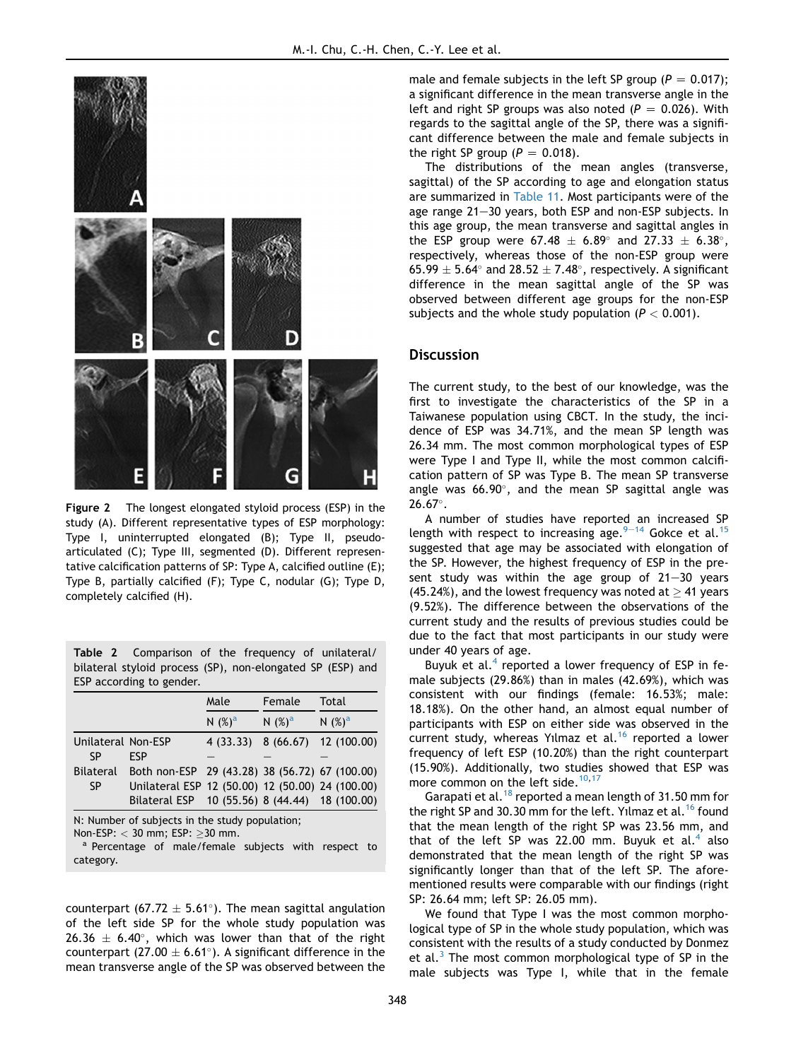<span id="page-3-0"></span>

Figure 2 The longest elongated styloid process (ESP) in the study (A). Different representative types of ESP morphology: Type I, uninterrupted elongated (B); Type II, pseudoarticulated (C); Type III, segmented (D). Different representative calcification patterns of SP: Type A, calcified outline (E); Type B, partially calcified (F); Type C, nodular (G); Type D, completely calcified (H).

<span id="page-3-1"></span>Table 2 Comparison of the frequency of unilateral/ bilateral styloid process (SP), non-elongated SP (ESP) and ESP according to gender.

|                    |                                                  | Male                | Female    |             |
|--------------------|--------------------------------------------------|---------------------|-----------|-------------|
|                    |                                                  | N $(%)^a$           | N $(%)^a$ | N $(%)^a$   |
| Unilateral Non-ESP |                                                  | 4 (33.33) 8 (66.67) |           | 12 (100.00) |
| SΡ                 | FSP                                              |                     |           |             |
| <b>Bilateral</b>   | Both non-ESP 29 (43.28) 38 (56.72) 67 (100.00)   |                     |           |             |
| <b>SP</b>          | Unilateral ESP 12 (50.00) 12 (50.00) 24 (100.00) |                     |           |             |
|                    | Bilateral ESP 10 (55.56) 8 (44.44) 18 (100.00)   |                     |           |             |

N: Number of subjects in the study population;

Non-ESP:  $<$  30 mm; ESP:  $\geq$  30 mm.<br><sup>a</sup> Percentage of male/female subjects with respect to category.

counterpart (67.72  $\pm$  5.61°). The mean sagittal angulation of the left side SP for the whole study population was 26.36  $\pm$  6.40°, which was lower than that of the right counterpart (27.00  $\pm$  6.61°). A significant difference in the mean transverse angle of the SP was observed between the

male and female subjects in the left SP group ( $P = 0.017$ ); a significant difference in the mean transverse angle in the left and right SP groups was also noted ( $P = 0.026$ ). With regards to the sagittal angle of the SP, there was a significant difference between the male and female subjects in the right SP group ( $P = 0.018$ ).

The distributions of the mean angles (transverse, sagittal) of the SP according to age and elongation status are summarized in [Table 11.](#page-7-8) Most participants were of the age range 21-30 years, both ESP and non-ESP subjects. In this age group, the mean transverse and sagittal angles in the ESP group were  $67.48 \pm 6.89^{\circ}$  and  $27.33 \pm 6.38^{\circ}$ , respectively, whereas those of the non-ESP group were 65.99  $\pm$  5.64° and 28.52  $\pm$  7.48°, respectively. A significant difference in the mean sagittal angle of the SP was observed between different age groups for the non-ESP subjects and the whole study population ( $P < 0.001$ ).

#### **Discussion**

The current study, to the best of our knowledge, was the first to investigate the characteristics of the SP in a Taiwanese population using CBCT. In the study, the incidence of ESP was 34.71%, and the mean SP length was 26.34 mm. The most common morphological types of ESP were Type I and Type II, while the most common calcification pattern of SP was Type B. The mean SP transverse angle was  $66.90^\circ$ , and the mean SP sagittal angle was  $26.67^{\circ}$ .

A number of studies have reported an increased SP length with respect to increasing age.  $9-14$  $9-14$  $9-14$  Gokce et al.<sup>[15](#page-7-10)</sup> suggested that age may be associated with elongation of the SP. However, the highest frequency of ESP in the present study was within the age group of  $21-30$  years (45.24%), and the lowest frequency was noted at  $>$  41 years (9.52%). The difference between the observations of the current study and the results of previous studies could be due to the fact that most participants in our study were under 40 years of age.

Buyuk et al.<sup>[4](#page-7-3)</sup> reported a lower frequency of ESP in female subjects (29.86%) than in males (42.69%), which was consistent with our findings (female: 16.53%; male: 18.18%). On the other hand, an almost equal number of participants with ESP on either side was observed in the current study, whereas Yilmaz et al.<sup>[16](#page-7-11)</sup> reported a lower frequency of left ESP (10.20%) than the right counterpart (15.90%). Additionally, two studies showed that ESP was more common on the left side. $10,17$  $10,17$  $10,17$ 

Garapati et al.<sup>[18](#page-8-1)</sup> reported a mean length of 31.50 mm for the right SP and 30.30 mm for the left. Yilmaz et al.<sup>[16](#page-7-11)</sup> found that the mean length of the right SP was 23.56 mm, and that of the left SP was 22.00 mm. Buyuk et al.<sup>[4](#page-7-3)</sup> also demonstrated that the mean length of the right SP was significantly longer than that of the left SP. The aforementioned results were comparable with our findings (right SP: 26.64 mm; left SP: 26.05 mm).

We found that Type I was the most common morphological type of SP in the whole study population, which was consistent with the results of a study conducted by Donmez et al.<sup>[3](#page-7-2)</sup> The most common morphological type of SP in the male subjects was Type I, while that in the female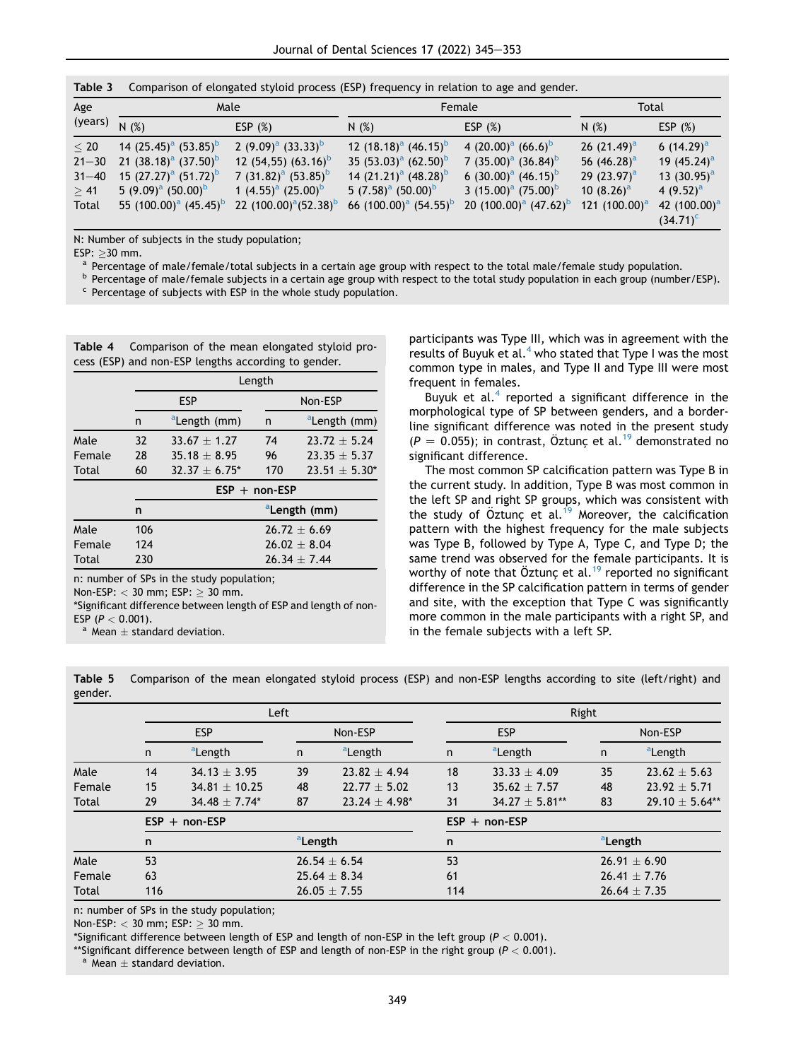<span id="page-4-0"></span>

| Table 3   |                                               |                                 |                                               | Comparison of elongated styloid process (ESP) frequency in relation to age and gender. |                  |                 |
|-----------|-----------------------------------------------|---------------------------------|-----------------------------------------------|----------------------------------------------------------------------------------------|------------------|-----------------|
| Age       | Male                                          |                                 |                                               | Female                                                                                 | Total            |                 |
| (years)   | N(%)                                          | ESP $(%)$                       | N(%)                                          | ESP $(%)$                                                                              | N(%)             | ESP $(%)$       |
| < 20      | 14 $(25.45)^a$ $(53.85)^b$                    | 2 $(9.09)^a$ $(33.33)^b$        | 12 $(18.18)^a$ $(46.15)^b$                    | 4 $(20.00)^a$ $(66.6)^b$                                                               | 26 $(21.49)^a$   | 6 $(14.29)^a$   |
| $21 - 30$ | 21 $(38.18)^a$ $(37.50)^b$                    | 12 (54,55) (63.16) <sup>b</sup> | 35 $(53.03)^a$ $(62.50)^b$                    | 7 $(35.00)^a$ $(36.84)^b$                                                              | 56 $(46.28)^a$   | 19 $(45.24)^a$  |
| $31 - 40$ | 15 $(27.27)^a$ $(51.72)^b$                    | 7 $(31.82)^a$ $(53.85)^b$       | 14 $(21.21)^a$ $(48.28)^b$                    | 6 $(30.00)^a$ $(46.15)^b$                                                              | 29 $(23.97)^a$   | 13 $(30.95)^a$  |
| > 41      | 5 $(9.09)^a$ $(50.00)^b$                      | 1 $(4.55)^a$ $(25.00)^b$        | 5 $(7.58)^{a}$ $(50.00)^{b}$                  | 3 $(15.00)^a$ $(75.00)^b$                                                              | 10 $(8.26)^a$    | 4 $(9.52)^a$    |
| Total     | 55 (100.00) <sup>a</sup> (45.45) <sup>b</sup> | 22 $(100.00)^a(52.38)^b$        | 66 (100.00) <sup>a</sup> (54.55) <sup>b</sup> | 20 $(100.00)^a$ $(47.62)^b$                                                            | 121 $(100.00)^a$ | 42 $(100.00)^a$ |
|           |                                               |                                 |                                               |                                                                                        |                  | $(34.71)^c$     |

N: Number of subjects in the study population;

ESP:  $\geq$ 30 mm.<br><sup>a</sup> Percentage of male/female/total subjects in a certain age group with respect to the total male/female study population.<br><sup>b</sup> Percentage of male/female subjects in a certain age group with respect to th

<span id="page-4-1"></span>Table 4 Comparison of the mean elongated styloid process (ESP) and non-ESP lengths according to gender.

|        |     | Length                   |                 |                          |  |  |  |
|--------|-----|--------------------------|-----------------|--------------------------|--|--|--|
|        |     | <b>ESP</b>               |                 | Non-ESP                  |  |  |  |
|        | n   | <sup>a</sup> Length (mm) | n               | aLength (mm)             |  |  |  |
| Male   | 32  | $33.67 + 1.27$           | 74              | $23.72 + 5.24$           |  |  |  |
| Female | 28  | $35.18 + 8.95$           | 96              | $23.35 + 5.37$           |  |  |  |
| Total  | 60  | $32.37 + 6.75^*$         | 170             | $23.51 + 5.30*$          |  |  |  |
|        |     |                          | $ESP + non-ESP$ |                          |  |  |  |
|        | n   |                          |                 | <sup>a</sup> Length (mm) |  |  |  |
| Male   | 106 |                          |                 | $76.77 + 6.69$           |  |  |  |
| Female | 124 |                          |                 | $76.02 + 8.04$           |  |  |  |
| Total  | 230 |                          |                 | $26.34 + 7.44$           |  |  |  |

n: number of SPs in the study population;

Non-ESP:  $<$  30 mm; ESP:  $\geq$  30 mm.

\*Significant difference between length of ESP and length of non-ESP ( $P < 0.001$ ).<br><sup>a</sup> Mean  $\pm$  standard deviation.

participants was Type III, which was in agreement with the results of Buyuk et al.<sup>[4](#page-7-3)</sup> who stated that Type I was the most common type in males, and Type II and Type III were most frequent in females.

Buyuk et al. $4$  reported a significant difference in the morphological type of SP between genders, and a borderline significant difference was noted in the present study  $(P = 0.055)$ ; in contrast, Öztunc et al.<sup>[19](#page-8-0)</sup> demonstrated no significant difference.

The most common SP calcification pattern was Type B in the current study. In addition, Type B was most common in the left SP and right SP groups, which was consistent with the study of  $Öztunc et al.<sup>19</sup>$  Moreover, the calcification pattern with the highest frequency for the male subjects was Type B, followed by Type A, Type C, and Type D; the same trend was observed for the female participants. It is worthy of note that Öztunc et al.<sup>19</sup> reported no significant difference in the SP calcification pattern in terms of gender and site, with the exception that Type C was significantly more common in the male participants with a right SP, and in the female subjects with a left SP.

Table 5 Comparison of the mean elongated styloid process (ESP) and non-ESP lengths according to site (left/right) and gender.

|        |            | Left                |                     |                     |                 | Right                 |                     |                     |  |
|--------|------------|---------------------|---------------------|---------------------|-----------------|-----------------------|---------------------|---------------------|--|
|        | <b>ESP</b> |                     |                     | Non-ESP             |                 | <b>ESP</b><br>Non-ESP |                     |                     |  |
|        | n          | <sup>a</sup> Length | n                   | <sup>a</sup> Length | n               | <sup>a</sup> Length   | n                   | <sup>a</sup> Length |  |
| Male   | 14         | $34.13 \pm 3.95$    | 39                  | $23.82 + 4.94$      | 18              | $33.33 \pm 4.09$      | 35                  | $23.62 + 5.63$      |  |
| Female | 15         | $34.81 + 10.25$     | 48                  | $22.77 + 5.02$      | 13              | $35.62 + 7.57$        | 48                  | $23.92 + 5.71$      |  |
| Total  | 29         | $34.48 + 7.74*$     | 87                  | $23.24 + 4.98*$     | 31              | $34.27 + 5.81**$      | 83                  | $29.10 \pm 5.64**$  |  |
|        |            | $ESP + non-ESP$     |                     |                     | $ESP + non-ESP$ |                       |                     |                     |  |
|        | n          |                     | <sup>a</sup> Length |                     | n               |                       | <sup>a</sup> Length |                     |  |
| Male   | 53         |                     |                     | $26.54 \pm 6.54$    |                 | 53<br>$26.91 + 6.90$  |                     |                     |  |
| Female | 63         |                     |                     | $25.64 \pm 8.34$    |                 | 61                    |                     | $26.41 \pm 7.76$    |  |
| Total  | 116        |                     |                     | $26.05 \pm 7.55$    |                 | 114                   |                     | $26.64 \pm 7.35$    |  |

n: number of SPs in the study population;

Non-ESP:  $<$  30 mm; ESP:  $\geq$  30 mm.

\*Significant difference between length of ESP and length of non-ESP in the left group ( $P < 0.001$ ).

\*\*Significant difference between length of ESP and length of non-ESP in the right group ( $P < 0.001$ ).<br><sup>a</sup> Mean  $\pm$  standard deviation.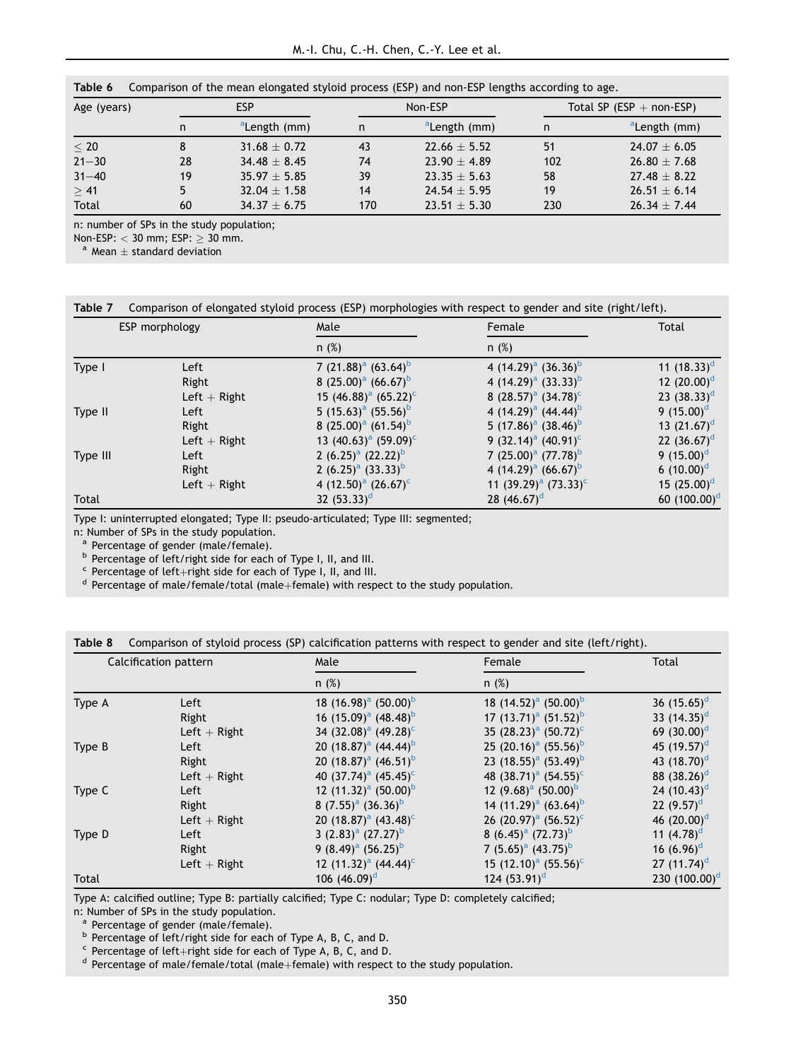<span id="page-5-0"></span>

|  | Table 6 | Comparison of the mean elongated styloid process (ESP) and non-ESP lengths according to age. |  |  |  |  |
|--|---------|----------------------------------------------------------------------------------------------|--|--|--|--|
|--|---------|----------------------------------------------------------------------------------------------|--|--|--|--|

| Age (years) | <b>ESP</b> |                          |     | Non-ESP                  |     | Total SP (ESP $+$ non-ESP) |  |  |
|-------------|------------|--------------------------|-----|--------------------------|-----|----------------------------|--|--|
|             | n          | <sup>a</sup> Length (mm) | n   | <sup>a</sup> Length (mm) | n   | <sup>a</sup> Length (mm)   |  |  |
| < 20        | 8          | $31.68 + 0.72$           | 43  | $22.66 + 5.52$           | 51  | $24.07 + 6.05$             |  |  |
| $21 - 30$   | 28         | $34.48 + 8.45$           | 74  | $23.90 + 4.89$           | 102 | $26.80 + 7.68$             |  |  |
| $31 - 40$   | 19         | $35.97 + 5.85$           | 39  | $23.35 + 5.63$           | 58  | $27.48 + 8.22$             |  |  |
| > 41        | 5          | $32.04 + 1.58$           | 14  | $24.54 + 5.95$           | 19  | $26.51 + 6.14$             |  |  |
| Total       | 60         | $34.37 + 6.75$           | 170 | $23.51 + 5.30$           | 230 | $26.34 + 7.44$             |  |  |

n: number of SPs in the study population;

Non-ESP:  $<$  30 mm; ESP:  $\geq$  30 mm.<br>a Mean + standard deviation

<span id="page-5-1"></span>

|  |  |  | Table 7 Comparison of elongated styloid process (ESP) morphologies with respect to gender and site (right/left). |
|--|--|--|------------------------------------------------------------------------------------------------------------------|
|  |  |  |                                                                                                                  |

|          | ESP morphology | Male                       | Female                     | Total           |  |
|----------|----------------|----------------------------|----------------------------|-----------------|--|
|          |                | n(%)                       | n(%)                       |                 |  |
| Type I   | Left           | 7 $(21.88)^a$ $(63.64)^b$  | 4 $(14.29)^a$ $(36.36)^b$  | 11 $(18.33)^d$  |  |
|          | Right          | 8 $(25.00)^a$ $(66.67)^b$  | 4 $(14.29)^a$ $(33.33)^b$  | 12 $(20.00)^d$  |  |
|          | Left $+$ Right | 15 $(46.88)^a$ $(65.22)^c$ | 8 $(28.57)^a$ $(34.78)^c$  | 23 $(38.33)^d$  |  |
| Type II  | Left           | 5 $(15.63)^a$ $(55.56)^b$  | 4 $(14.29)^a$ $(44.44)^b$  | 9 $(15.00)^d$   |  |
|          | Right          | 8 $(25.00)^a$ $(61.54)^b$  | 5 $(17.86)^a$ $(38.46)^b$  | 13 $(21.67)^d$  |  |
|          | Left $+$ Right | 13 $(40.63)^a$ $(59.09)^c$ | 9 $(32.14)^a$ $(40.91)^c$  | 22 $(36.67)^d$  |  |
| Type III | Left           | 2 $(6.25)^a$ $(22.22)^b$   | 7 $(25.00)^a$ $(77.78)^b$  | 9 $(15.00)^d$   |  |
|          | Right          | 2 $(6.25)^a$ $(33.33)^b$   | 4 $(14.29)^a$ $(66.67)^b$  | 6 $(10.00)^d$   |  |
|          | Left $+$ Right | 4 $(12.50)^a$ $(26.67)^c$  | 11 $(39.29)^a$ $(73.33)^c$ | 15 $(25.00)^d$  |  |
| Total    |                | 32 $(53.33)^d$             | 28 $(46.67)^d$             | 60 $(100.00)^d$ |  |

Type I: uninterrupted elongated; Type II: pseudo-articulated; Type III: segmented;

<sup>a</sup> Percentage of gender (male/female).<br>
<sup>b</sup> Percentage of left/right side for each of Type I, II, and III.<br>
<sup>c</sup> Percentage of left+right side for each of Type I, II, and III.<br>
<sup>d</sup> Percentage of male/female/total (male+fe

<span id="page-5-2"></span>

| Table 8 Comparison of styloid process (SP) calcification patterns with respect to gender and site (left/right). |  |  |  |  |  |
|-----------------------------------------------------------------------------------------------------------------|--|--|--|--|--|
|                                                                                                                 |  |  |  |  |  |

| Calcification pattern |                | Male                                         | Female                                       | Total                     |
|-----------------------|----------------|----------------------------------------------|----------------------------------------------|---------------------------|
|                       |                | n(%)                                         | $n$ (%)                                      |                           |
| Type A                | Left           | 18 $(16.98)^a$ $(50.00)^b$                   | 18 $(14.52)^a$ $(50.00)^b$                   | 36 $(15.65)^d$            |
|                       | Right          | 16 $(15.09)^a$ $(48.48)^b$                   | 17 $(13.71)^a$ $(51.52)^b$                   | 33 $(14.35)^d$            |
|                       | Left $+$ Right | 34 (32.08) <sup>a</sup> (49.28) <sup>c</sup> | 35 $(28.23)^a$ $(50.72)^c$                   | 69 $(30.00)^d$            |
| Type B                | Left           | 20 $(18.87)^a$ $(44.44)^b$                   | 25 (20.16) <sup>a</sup> (55.56) <sup>b</sup> | 45 $(19.57)^d$            |
|                       | Right          | 20 $(18.87)^a$ $(46.51)^b$                   | 23 (18.55) <sup>a</sup> (53.49) <sup>b</sup> | 43 $(18.70)^d$            |
|                       | Left $+$ Right | 40 (37.74) <sup>a</sup> (45.45) <sup>c</sup> | 48 $(38.71)^a$ $(54.55)^c$                   | 88 $(38.26)^d$            |
| Type C                | Left           | 12 $(11.32)^a$ $(50.00)^b$                   | 12 $(9.68)^a$ $(50.00)^b$                    | 24 $(10.43)^d$            |
|                       | Right          | 8 $(7.55)^a$ $(36.36)^b$                     | 14 $(11.29)^a$ $(63.64)^b$                   | 22 $(9.57)^d$             |
|                       | Left $+$ Right | 20 $(18.87)^a$ $(43.48)^c$                   | 26 (20.97) <sup>a</sup> (56.52) <sup>c</sup> | 46 $(20.00)^d$            |
| Type D                | Left           | 3 $(2.83)^a$ $(27.27)^b$                     | 8 $(6.45)^a$ $(72.73)^b$                     | 11 $(4.78)^d$             |
|                       | Right          | 9 $(8.49)^a$ $(56.25)^b$                     | 7 $(5.65)^a$ $(43.75)^b$                     | 16 $(6.96)^d$             |
|                       | Left $+$ Right | 12 $(11.32)^a$ $(44.44)^c$                   | 15 $(12.10)^a$ $(55.56)^c$                   | 27 $(11.74)$ <sup>d</sup> |
| Total                 |                | 106 $(46.09)^d$                              | 124 $(53.91)^d$                              | 230 $(100.00)^d$          |

Type A: calcified outline; Type B: partially calcified; Type C: nodular; Type D: completely calcified;

<sup>a</sup> Percentage of gender (male/female).<br><sup>b</sup> Percentage of left/right side for each of Type A, B, C, and D.

<sup>c</sup> Percentage of left+right side for each of Type A, B, C, and D.  $d$  Percentage of male/female/total (male+female) with respect to the study population.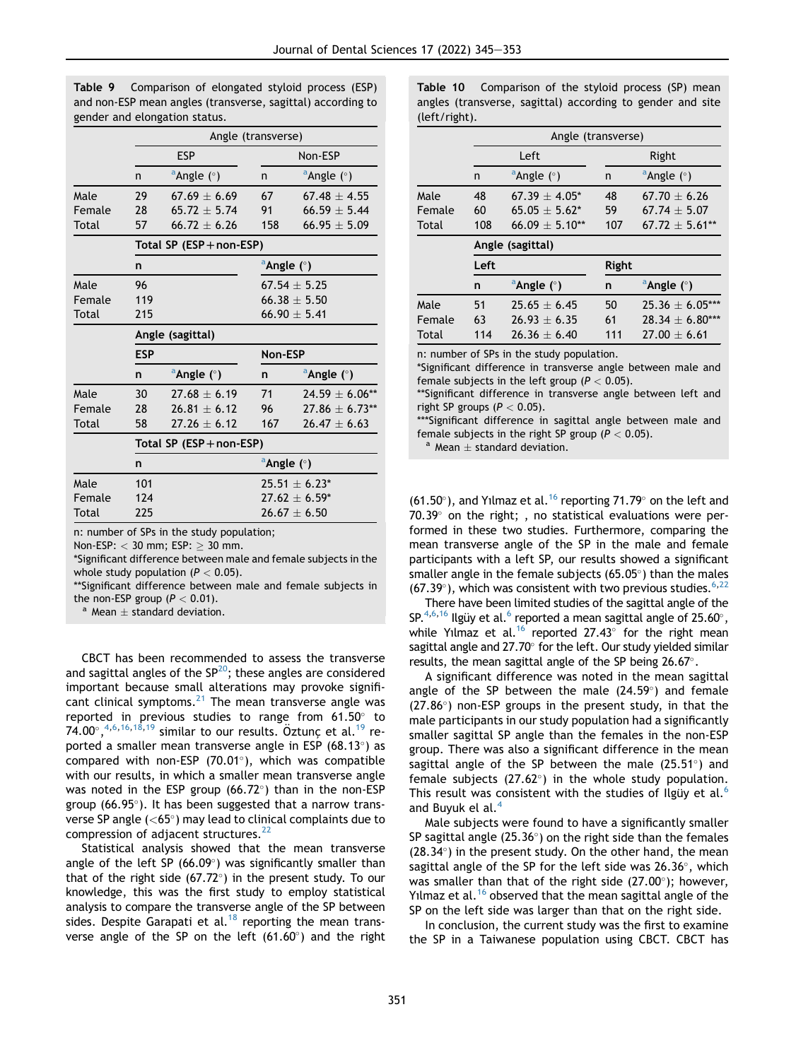|        |            |                                 | Angle (transverse)              |                        |  |  |
|--------|------------|---------------------------------|---------------------------------|------------------------|--|--|
|        |            | <b>ESP</b>                      |                                 | Non-ESP                |  |  |
|        | n          | $^{\circ}$ Angle ( $^{\circ}$ ) | n                               | <sup>a</sup> Angle (°) |  |  |
| Male   | 29         | $67.69 \pm 6.69$                | 67                              | $67.48 \pm 4.55$       |  |  |
| Female | 28         | $65.72 + 5.74$                  | 91                              | $66.59 + 5.44$         |  |  |
| Total  | 57         | $66.72 \pm 6.26$                | 158                             | 66.95 $\pm$ 5.09       |  |  |
|        |            | Total SP $(ESP + non-ESP)$      |                                 |                        |  |  |
|        | n          |                                 | $^{\circ}$ Angle ( $^{\circ}$ ) |                        |  |  |
| Male   | 96         |                                 |                                 | $67.54 \pm 5.25$       |  |  |
| Female | 119        |                                 |                                 | $66.38 \pm 5.50$       |  |  |
| Total  | 215        |                                 |                                 | 66.90 $\pm$ 5.41       |  |  |
|        |            | Angle (sagittal)                |                                 |                        |  |  |
|        | <b>ESP</b> |                                 | Non-ESP                         |                        |  |  |
|        | n          | $^{\circ}$ Angle ( $^{\circ}$ ) | n                               | <sup>a</sup> Angle (°) |  |  |
| Male   | 30         | $27.68 + 6.19$                  | 71                              | $24.59 \pm 6.06**$     |  |  |
| Female | 28         | $26.81 + 6.12$                  | 96                              | $27.86 + 6.73**$       |  |  |
| Total  | 58         | $27.26 \pm 6.12$                | 167                             | $26.47 \pm 6.63$       |  |  |
|        |            | Total SP (ESP + non-ESP)        |                                 |                        |  |  |
|        | n          |                                 | $^{\circ}$ Angle ( $^{\circ}$ ) |                        |  |  |
| Male   | 101        |                                 |                                 | $25.51 + 6.23*$        |  |  |
| Female | 124        |                                 |                                 | $27.62 \pm 6.59^*$     |  |  |
| Total  | 225        |                                 |                                 | $26.67 \pm 6.50$       |  |  |

<span id="page-6-0"></span>Table 9 Comparison of elongated styloid process (ESP) and non-ESP mean angles (transverse, sagittal) according to gender and elongation status.

n: number of SPs in the study population;

Non-ESP:  $<$  30 mm; ESP:  $\geq$  30 mm.

\*Significant difference between male and female subjects in the whole study population  $(P < 0.05)$ .

\*\*Significant difference between male and female subjects in the non-ESP group ( $P < 0.01$ ).<br><sup>a</sup> Mean + standard deviation.

CBCT has been recommended to assess the transverse and sagittal angles of the  $SP^{20}$  $SP^{20}$  $SP^{20}$ ; these angles are considered important because small alterations may provoke significant clinical symptoms. $^{21}$  $^{21}$  $^{21}$  The mean transverse angle was reported in previous studies to range from  $61.50^\circ$  to  $74.00^{\circ}, ^{4,6,16,18,19}$  $74.00^{\circ}, ^{4,6,16,18,19}$  $74.00^{\circ}, ^{4,6,16,18,19}$  $74.00^{\circ}, ^{4,6,16,18,19}$  $74.00^{\circ}, ^{4,6,16,18,19}$  $74.00^{\circ}, ^{4,6,16,18,19}$  $74.00^{\circ}, ^{4,6,16,18,19}$  $74.00^{\circ}, ^{4,6,16,18,19}$  similar to our results. Öztunç et al.<sup>19</sup> reported a smaller mean transverse angle in ESP (68.13 $^{\circ}$ ) as compared with non-ESP (70.01 $^{\circ}$ ), which was compatible with our results, in which a smaller mean transverse angle was noted in the ESP group  $(66.72^{\circ})$  than in the non-ESP group (66.95). It has been suggested that a narrow transverse SP angle  $(**65°**)$  may lead to clinical complaints due to compression of adjacent structures.<sup>[22](#page-8-5)</sup>

Statistical analysis showed that the mean transverse angle of the left SP (66.09 $^{\circ}$ ) was significantly smaller than that of the right side (67.72 $\degree$ ) in the present study. To our knowledge, this was the first study to employ statistical analysis to compare the transverse angle of the SP between sides. Despite Garapati et al.<sup>[18](#page-8-1)</sup> reporting the mean transverse angle of the SP on the left  $(61.60^\circ)$  and the right <span id="page-6-1"></span>Table 10 Comparison of the styloid process (SP) mean angles (transverse, sagittal) according to gender and site (left/right).

|        |                  | Angle (transverse)        |       |                           |  |  |  |
|--------|------------------|---------------------------|-------|---------------------------|--|--|--|
|        |                  | Left                      | Right |                           |  |  |  |
|        | n                | $^a$ Angle ( $^{\circ}$ ) | n     | $^a$ Angle ( $^{\circ}$ ) |  |  |  |
| Male   | 48               | $67.39 + 4.05*$           | 48    | $67.70 + 6.26$            |  |  |  |
| Female | 60               | $65.05 + 5.62*$           | 59    | $67.74 + 5.07$            |  |  |  |
| Total  | 108              | $66.09 + 5.10**$          | 107   | $67.72 + 5.61**$          |  |  |  |
|        | Angle (sagittal) |                           |       |                           |  |  |  |
|        | $\mathbf{r}$     |                           | .     |                           |  |  |  |

|        | Left |                           | Right |                           |  |
|--------|------|---------------------------|-------|---------------------------|--|
|        | n    | $^a$ Angle ( $^{\circ}$ ) | n     | $^a$ Angle ( $^{\circ}$ ) |  |
| Male   | 51   | $25.65 + 6.45$            | 50    | $25.36 + 6.05***$         |  |
| Female | 63   | $26.93 + 6.35$            | 61    | $28.34 + 6.80***$         |  |
| Total  | 114  | $26.36 + 6.40$            | 111   | $27.00 + 6.61$            |  |

n: number of SPs in the study population.

\*Significant difference in transverse angle between male and female subjects in the left group ( $P < 0.05$ ).

\*\*Significant difference in transverse angle between left and right SP groups  $(P < 0.05)$ .

\*\*\*Significant difference in sagittal angle between male and female subjects in the right SP group ( $P < 0.05$ ).<br><sup>a</sup> Mean  $\pm$  standard deviation.

(61.50 $^{\circ}$ ), and Yılmaz et al.<sup>[16](#page-7-11)</sup> reporting 71.79 $^{\circ}$  on the left and  $70.39^{\circ}$  on the right; , no statistical evaluations were performed in these two studies. Furthermore, comparing the mean transverse angle of the SP in the male and female participants with a left SP, our results showed a significant smaller angle in the female subjects  $(65.05^{\circ})$  than the males  $(67.39^{\circ})$  $(67.39^{\circ})$  $(67.39^{\circ})$ , which was consistent with two previous studies.  $6.22$ 

There have been limited studies of the sagittal angle of the SP.<sup>4[,6](#page-7-5),[16](#page-7-11)</sup> Ilgüy et al.<sup>6</sup> reported a mean sagittal angle of 25[.6](#page-7-5)0°, while Yilmaz et al.<sup>16</sup> reported 27.43 $\degree$  for the right mean sagittal angle and 27.70° for the left. Our study yielded similar results, the mean sagittal angle of the SP being 26.67°.

A significant difference was noted in the mean sagittal angle of the SP between the male  $(24.59^{\circ})$  and female  $(27.86^\circ)$  non-ESP groups in the present study, in that the male participants in our study population had a significantly smaller sagittal SP angle than the females in the non-ESP group. There was also a significant difference in the mean sagittal angle of the SP between the male  $(25.51^{\circ})$  and female subjects  $(27.62^{\circ})$  in the whole study population. This result was consistent with the studies of Ilgüy et al. $<sup>6</sup>$  $<sup>6</sup>$  $<sup>6</sup>$ </sup> and Buyuk el al.[4](#page-7-3)

Male subjects were found to have a significantly smaller SP sagittal angle  $(25.36^{\circ})$  on the right side than the females  $(28.34^{\circ})$  in the present study. On the other hand, the mean sagittal angle of the SP for the left side was  $26.36^{\circ}$ , which was smaller than that of the right side  $(27.00^{\circ})$ ; however, Yilmaz et al.<sup>[16](#page-7-11)</sup> observed that the mean sagittal angle of the SP on the left side was larger than that on the right side.

In conclusion, the current study was the first to examine the SP in a Taiwanese population using CBCT. CBCT has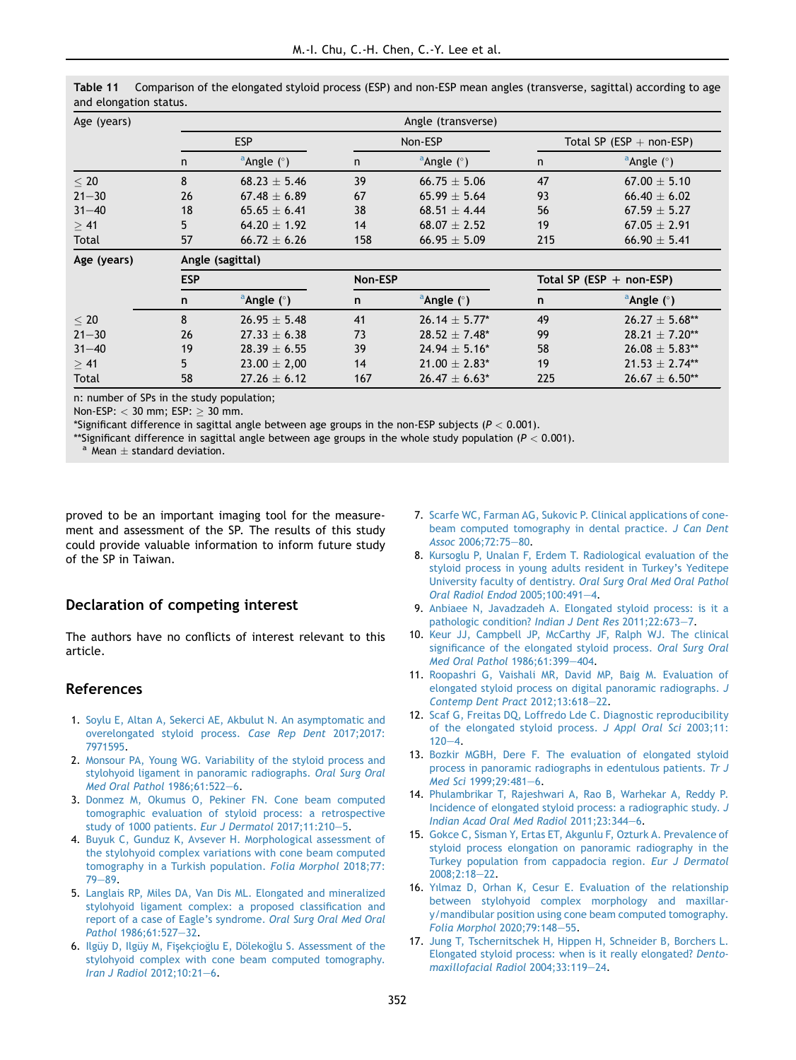| Age (years) | Angle (transverse) |                           |         |                           |                            |                           |  |
|-------------|--------------------|---------------------------|---------|---------------------------|----------------------------|---------------------------|--|
|             | <b>ESP</b>         |                           | Non-ESP |                           | Total SP (ESP $+$ non-ESP) |                           |  |
|             | $\mathsf{n}$       | $^a$ Angle ( $^{\circ}$ ) | n       | $^a$ Angle ( $^{\circ}$ ) | n                          | $^a$ Angle ( $^{\circ}$ ) |  |
| < 20        | 8                  | $68.23 \pm 5.46$          | 39      | $66.75 \pm 5.06$          | 47                         | $67.00 \pm 5.10$          |  |
| $21 - 30$   | 26                 | $67.48 + 6.89$            | 67      | $65.99 + 5.64$            | 93                         | $66.40 + 6.02$            |  |
| $31 - 40$   | 18                 | $65.65 \pm 6.41$          | 38      | $68.51 + 4.44$            | 56                         | $67.59 \pm 5.27$          |  |
| $\geq 41$   | 5                  | $64.20 + 1.92$            | 14      | $68.07 + 2.52$            | 19                         | $67.05 + 2.91$            |  |
| Total       | 57                 | $66.72 \pm 6.26$          | 158     | 66.95 $\pm$ 5.09          | 215                        | 66.90 $\pm$ 5.41          |  |
| Age (years) | Angle (sagittal)   |                           |         |                           |                            |                           |  |

<span id="page-7-8"></span>Table 11 Comparison of the elongated styloid process (ESP) and non-ESP mean angles (transverse, sagittal) according to age and elongation status.

| Age (years) |            | Angle (sagittal)          |     |                           |     |                                 |  |  |
|-------------|------------|---------------------------|-----|---------------------------|-----|---------------------------------|--|--|
|             | <b>ESP</b> |                           |     | Non-ESP                   |     | Total SP (ESP $+$ non-ESP)      |  |  |
|             | n          | $^a$ Angle ( $^{\circ}$ ) | n   | $^a$ Angle ( $^{\circ}$ ) | n   | $^{\circ}$ Angle ( $^{\circ}$ ) |  |  |
| < 20        | 8          | $26.95 + 5.48$            | 41  | $26.14 + 5.77*$           | 49  | $26.27 + 5.68**$                |  |  |
| $21 - 30$   | 26         | $27.33 + 6.38$            | 73  | $28.52 + 7.48^*$          | 99  | $28.21 \pm 7.20***$             |  |  |
| $31 - 40$   | 19         | $28.39 + 6.55$            | 39  | $24.94 + 5.16*$           | 58  | $26.08 \pm 5.83***$             |  |  |
| >41         | 5.         | $23.00 \pm 2.00$          | 14  | $21.00 + 2.83*$           | 19  | $21.53 \pm 2.74***$             |  |  |
| Total       | 58         | $27.26 + 6.12$            | 167 | $26.47 + 6.63*$           | 225 | $26.67 \pm 6.50**$              |  |  |

n: number of SPs in the study population;

Non-ESP:  $<$  30 mm; ESP:  $\geq$  30 mm.

\*Significant difference in sagittal angle between age groups in the non-ESP subjects ( $P < 0.001$ ).

\*\*Significant difference in sagittal angle between age groups in the whole study population ( $P < 0.001$ ).<br><sup>a</sup> Mean  $\pm$  standard deviation.

proved to be an important imaging tool for the measurement and assessment of the SP. The results of this study could provide valuable information to inform future study of the SP in Taiwan.

# Declaration of competing interest

The authors have no conflicts of interest relevant to this article.

## <span id="page-7-0"></span>References

- 1. [Soylu E, Altan A, Sekerci AE, Akbulut N. An asymptomatic and](http://refhub.elsevier.com/S1991-7902(21)00259-2/sref1) [overelongated styloid process.](http://refhub.elsevier.com/S1991-7902(21)00259-2/sref1) Case Rep Dent 2017;2017: [7971595](http://refhub.elsevier.com/S1991-7902(21)00259-2/sref1).
- <span id="page-7-2"></span><span id="page-7-1"></span>2. [Monsour PA, Young WG. Variability of the styloid process and](http://refhub.elsevier.com/S1991-7902(21)00259-2/sref2) [stylohyoid ligament in panoramic radiographs.](http://refhub.elsevier.com/S1991-7902(21)00259-2/sref2) Oral Surg Oral [Med Oral Pathol](http://refhub.elsevier.com/S1991-7902(21)00259-2/sref2) 1986;61:522-[6.](http://refhub.elsevier.com/S1991-7902(21)00259-2/sref2)
- <span id="page-7-3"></span>3. [Donmez M, Okumus O, Pekiner FN. Cone beam computed](http://refhub.elsevier.com/S1991-7902(21)00259-2/sref3) [tomographic evaluation of styloid process: a retrospective](http://refhub.elsevier.com/S1991-7902(21)00259-2/sref3) [study of 1000 patients.](http://refhub.elsevier.com/S1991-7902(21)00259-2/sref3) Eur J Dermatol 2017;11:210-[5.](http://refhub.elsevier.com/S1991-7902(21)00259-2/sref3)
- 4. [Buyuk C, Gunduz K, Avsever H. Morphological assessment of](http://refhub.elsevier.com/S1991-7902(21)00259-2/sref4) [the stylohyoid complex variations with cone beam computed](http://refhub.elsevier.com/S1991-7902(21)00259-2/sref4) [tomography in a Turkish population.](http://refhub.elsevier.com/S1991-7902(21)00259-2/sref4) Folia Morphol 2018;77:  $79 - 89.$  $79 - 89.$  $79 - 89.$  $79 - 89.$
- <span id="page-7-4"></span>5. [Langlais RP, Miles DA, Van Dis ML. Elongated and mineralized](http://refhub.elsevier.com/S1991-7902(21)00259-2/sref5) [stylohyoid ligament complex: a proposed classification and](http://refhub.elsevier.com/S1991-7902(21)00259-2/sref5) [report of a case of Eagle's syndrome.](http://refhub.elsevier.com/S1991-7902(21)00259-2/sref5) Oral Surg Oral Med Oral Pathol [1986;61:527](http://refhub.elsevier.com/S1991-7902(21)00259-2/sref5)-[32](http://refhub.elsevier.com/S1991-7902(21)00259-2/sref5).
- <span id="page-7-5"></span>6. Ilgüy D, Ilgüy M, Fişekçioğlu E, Dölekoğ[lu S. Assessment of the](http://refhub.elsevier.com/S1991-7902(21)00259-2/sref6) [stylohyoid complex with cone beam computed tomography.](http://refhub.elsevier.com/S1991-7902(21)00259-2/sref6)  $Iran J Radiol 2012:10:21-6.$  $Iran J Radiol 2012:10:21-6.$  $Iran J Radiol 2012:10:21-6.$
- <span id="page-7-6"></span>7. [Scarfe WC, Farman AG, Sukovic P. Clinical applications of cone](http://refhub.elsevier.com/S1991-7902(21)00259-2/sref7)[beam computed tomography in dental practice.](http://refhub.elsevier.com/S1991-7902(21)00259-2/sref7) J Can Dent Assoc [2006;72:75](http://refhub.elsevier.com/S1991-7902(21)00259-2/sref7)-[80](http://refhub.elsevier.com/S1991-7902(21)00259-2/sref7).
- <span id="page-7-7"></span>8. [Kursoglu P, Unalan F, Erdem T. Radiological evaluation of the](http://refhub.elsevier.com/S1991-7902(21)00259-2/sref8) [styloid process in young adults resident in Turkey's Yeditepe](http://refhub.elsevier.com/S1991-7902(21)00259-2/sref8) University faculty of dentistry. [Oral Surg Oral Med Oral Pathol](http://refhub.elsevier.com/S1991-7902(21)00259-2/sref8) [Oral Radiol Endod](http://refhub.elsevier.com/S1991-7902(21)00259-2/sref8) 2005;100:491-[4.](http://refhub.elsevier.com/S1991-7902(21)00259-2/sref8)
- <span id="page-7-9"></span>9. [Anbiaee N, Javadzadeh A. Elongated styloid process: is it a](http://refhub.elsevier.com/S1991-7902(21)00259-2/sref9) [pathologic condition?](http://refhub.elsevier.com/S1991-7902(21)00259-2/sref9) Indian J Dent Res 2011;22:6[7](http://refhub.elsevier.com/S1991-7902(21)00259-2/sref9)3-7.
- <span id="page-7-12"></span>10. [Keur JJ, Campbell JP, McCarthy JF, Ralph WJ. The clinical](http://refhub.elsevier.com/S1991-7902(21)00259-2/sref10) [significance of the elongated styloid process.](http://refhub.elsevier.com/S1991-7902(21)00259-2/sref10) Oral Surg Oral [Med Oral Pathol](http://refhub.elsevier.com/S1991-7902(21)00259-2/sref10) 1986;61:399-[404](http://refhub.elsevier.com/S1991-7902(21)00259-2/sref10).
- 11. [Roopashri G, Vaishali MR, David MP, Baig M. Evaluation of](http://refhub.elsevier.com/S1991-7902(21)00259-2/sref11) [elongated styloid process on digital panoramic radiographs.](http://refhub.elsevier.com/S1991-7902(21)00259-2/sref11) J [Contemp Dent Pract](http://refhub.elsevier.com/S1991-7902(21)00259-2/sref11) 2012;13:618-[22.](http://refhub.elsevier.com/S1991-7902(21)00259-2/sref11)
- 12. [Scaf G, Freitas DQ, Loffredo Lde C. Diagnostic reproducibility](http://refhub.elsevier.com/S1991-7902(21)00259-2/sref12) [of the elongated styloid process.](http://refhub.elsevier.com/S1991-7902(21)00259-2/sref12) J Appl Oral Sci 2003;11:  $120 - 4.$  $120 - 4.$  $120 - 4.$  $120 - 4.$
- 13. [Bozkir MGBH, Dere F. The evaluation of elongated styloid](http://refhub.elsevier.com/S1991-7902(21)00259-2/sref13) [process in panoramic radiographs in edentulous patients.](http://refhub.elsevier.com/S1991-7902(21)00259-2/sref13) Tr J Med Sci [1999;29:481](http://refhub.elsevier.com/S1991-7902(21)00259-2/sref13)-[6.](http://refhub.elsevier.com/S1991-7902(21)00259-2/sref13)
- 14. [Phulambrikar T, Rajeshwari A, Rao B, Warhekar A, Reddy P.](http://refhub.elsevier.com/S1991-7902(21)00259-2/sref14) [Incidence of elongated styloid process: a radiographic study.](http://refhub.elsevier.com/S1991-7902(21)00259-2/sref14) J [Indian Acad Oral Med Radiol](http://refhub.elsevier.com/S1991-7902(21)00259-2/sref14) 2011;23:344-[6](http://refhub.elsevier.com/S1991-7902(21)00259-2/sref14).
- <span id="page-7-10"></span>15. [Gokce C, Sisman Y, Ertas ET, Akgunlu F, Ozturk A. Prevalence of](http://refhub.elsevier.com/S1991-7902(21)00259-2/sref15) [styloid process elongation on panoramic radiography in the](http://refhub.elsevier.com/S1991-7902(21)00259-2/sref15) [Turkey population from cappadocia region.](http://refhub.elsevier.com/S1991-7902(21)00259-2/sref15) Eur J Dermatol  $2008:2:18-22$  $2008:2:18-22$
- <span id="page-7-11"></span>16. [Yılmaz D, Orhan K, Cesur E. Evaluation of the relationship](http://refhub.elsevier.com/S1991-7902(21)00259-2/sref16) [between stylohyoid complex morphology and maxillar](http://refhub.elsevier.com/S1991-7902(21)00259-2/sref16)[y/mandibular position using cone beam computed tomography.](http://refhub.elsevier.com/S1991-7902(21)00259-2/sref16) [Folia Morphol](http://refhub.elsevier.com/S1991-7902(21)00259-2/sref16) 2020;79:148-[55](http://refhub.elsevier.com/S1991-7902(21)00259-2/sref16).
- <span id="page-7-13"></span>17. [Jung T, Tschernitschek H, Hippen H, Schneider B, Borchers L.](http://refhub.elsevier.com/S1991-7902(21)00259-2/sref17) [Elongated styloid process: when is it really elongated?](http://refhub.elsevier.com/S1991-7902(21)00259-2/sref17) Dento[maxillofacial Radiol](http://refhub.elsevier.com/S1991-7902(21)00259-2/sref17) 2004;33:119-[24.](http://refhub.elsevier.com/S1991-7902(21)00259-2/sref17)